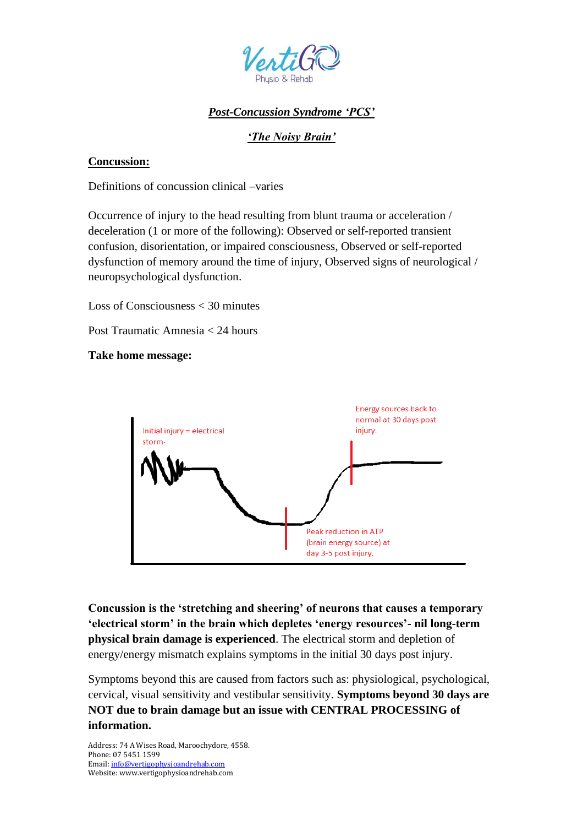

# *Post-Concussion Syndrome 'PCS'*

# *'The Noisy Brain'*

### **Concussion:**

Definitions of concussion clinical –varies

Occurrence of injury to the head resulting from blunt trauma or acceleration / deceleration (1 or more of the following): Observed or self-reported transient confusion, disorientation, or impaired consciousness, Observed or self-reported dysfunction of memory around the time of injury, Observed signs of neurological / neuropsychological dysfunction.

Loss of Consciousness < 30 minutes

Post Traumatic Amnesia < 24 hours

**Take home message:**



**Concussion is the 'stretching and sheering' of neurons that causes a temporary 'electrical storm' in the brain which depletes 'energy resources'- nil long-term physical brain damage is experienced**. The electrical storm and depletion of energy/energy mismatch explains symptoms in the initial 30 days post injury.

Symptoms beyond this are caused from factors such as: physiological, psychological, cervical, visual sensitivity and vestibular sensitivity. **Symptoms beyond 30 days are NOT due to brain damage but an issue with CENTRAL PROCESSING of information.**

Address: 74 A Wises Road, Maroochydore, 4558. Phone: 07 5451 1599 Email[: info@vertigophysioandrehab.com](mailto:info@vertigophysioandrehab.com) Website: www.vertigophysioandrehab.com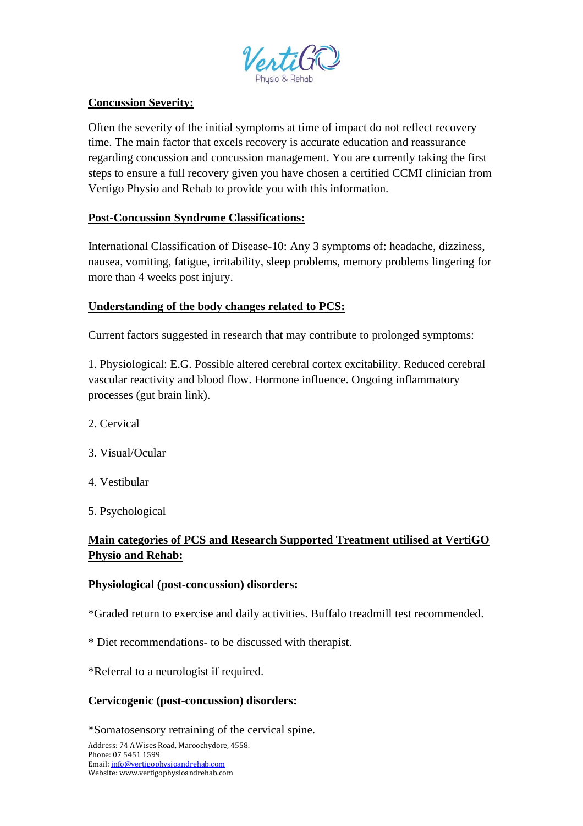

### **Concussion Severity:**

Often the severity of the initial symptoms at time of impact do not reflect recovery time. The main factor that excels recovery is accurate education and reassurance regarding concussion and concussion management. You are currently taking the first steps to ensure a full recovery given you have chosen a certified CCMI clinician from Vertigo Physio and Rehab to provide you with this information.

## **Post-Concussion Syndrome Classifications:**

International Classification of Disease-10: Any 3 symptoms of: headache, dizziness, nausea, vomiting, fatigue, irritability, sleep problems, memory problems lingering for more than 4 weeks post injury.

## **Understanding of the body changes related to PCS:**

Current factors suggested in research that may contribute to prolonged symptoms:

1. Physiological: E.G. Possible altered cerebral cortex excitability. Reduced cerebral vascular reactivity and blood flow. Hormone influence. Ongoing inflammatory processes (gut brain link).

- 2. Cervical
- 3. Visual/Ocular
- 4. Vestibular
- 5. Psychological

# **Main categories of PCS and Research Supported Treatment utilised at VertiGO Physio and Rehab:**

#### **Physiological (post-concussion) disorders:**

\*Graded return to exercise and daily activities. Buffalo treadmill test recommended.

\* Diet recommendations- to be discussed with therapist.

\*Referral to a neurologist if required.

#### **Cervicogenic (post-concussion) disorders:**

\*Somatosensory retraining of the cervical spine.

Address: 74 A Wises Road, Maroochydore, 4558. Phone: 07 5451 1599 Email[: info@vertigophysioandrehab.com](mailto:info@vertigophysioandrehab.com) Website: www.vertigophysioandrehab.com